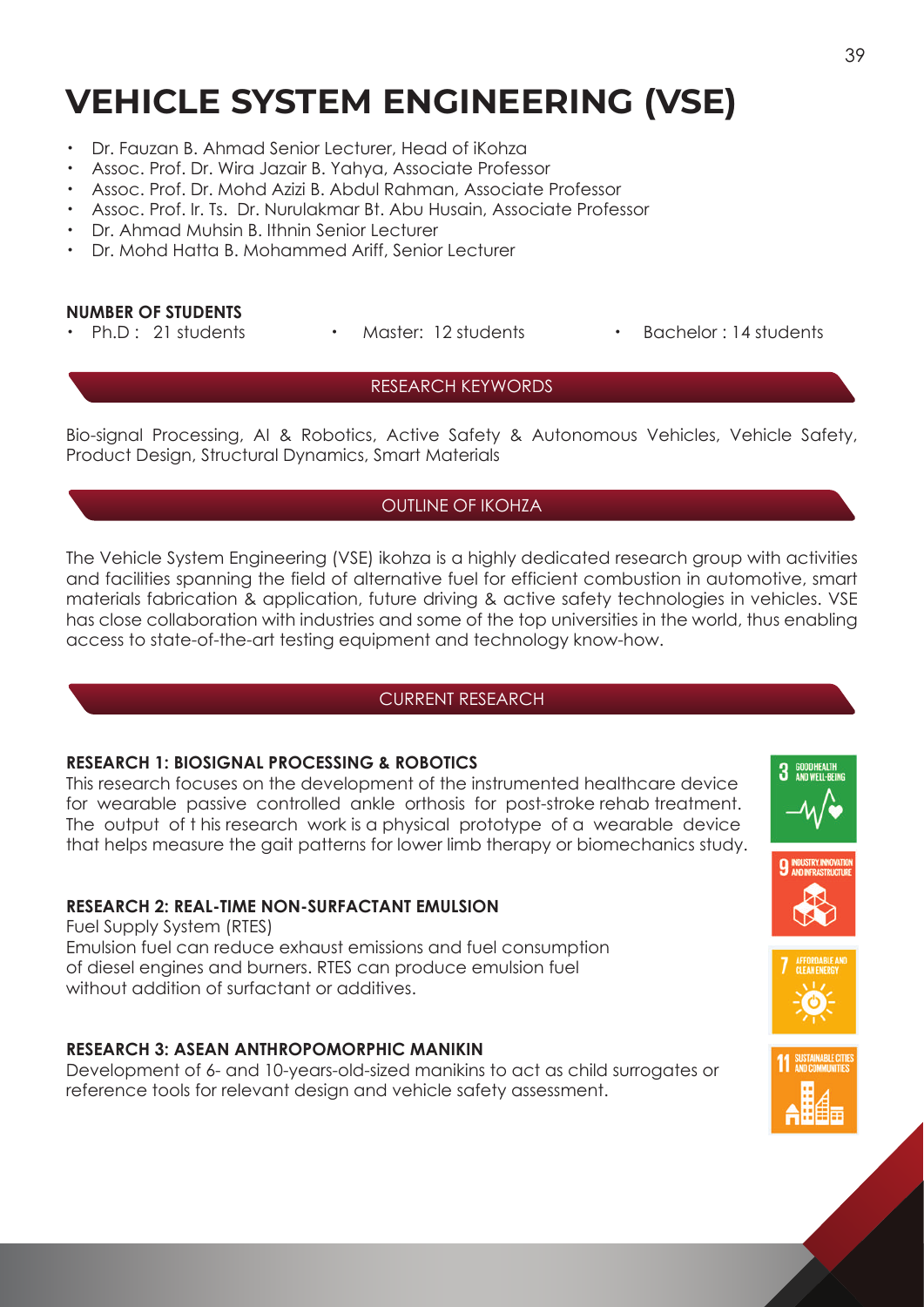# **VEHICLE SYSTEM ENGINEERING (VSE)**

- ・ Dr. Fauzan B. Ahmad Senior Lecturer, Head of iKohza
- ・ Assoc. Prof. Dr. Wira Jazair B. Yahya, Associate Professor
- ・ Assoc. Prof. Dr. Mohd Azizi B. Abdul Rahman, Associate Professor
- ・ Assoc. Prof. Ir. Ts. Dr. Nurulakmar Bt. Abu Husain, Associate Professor
- ・ Dr. Ahmad Muhsin B. Ithnin Senior Lecturer
- Dr. Mohd Hatta B. Mohammed Ariff, Senior Lecturer

#### **NUMBER OF STUDENTS**

- 
- 
- Ph.D : 21 students Master: 12 students Bachelor : 14 students

## RESEARCH KEYWORDS

Bio-signal Processing, AI & Robotics, Active Safety & Autonomous Vehicles, Vehicle Safety, Product Design, Structural Dynamics, Smart Materials

## OUTLINE OF IKOHZA

The Vehicle System Engineering (VSE) ikohza is a highly dedicated research group with activities and facilities spanning the field of alternative fuel for efficient combustion in automotive, smart materials fabrication & application, future driving & active safety technologies in vehicles. VSE has close collaboration with industries and some of the top universities in the world, thus enabling access to state-of-the-art testing equipment and technology know-how.

## CURRENT RESEARCH

## **RESEARCH 1: BIOSIGNAL PROCESSING & ROBOTICS**

This research focuses on the development of the instrumented healthcare device for wearable passive controlled ankle orthosis for post-stroke rehab treatment. The output of t his research work is a physical prototype of a wearable device that helps measure the gait patterns for lower limb therapy or biomechanics study.

## **RESEARCH 2: REAL-TIME NON-SURFACTANT EMULSION**

Fuel Supply System (RTES) Emulsion fuel can reduce exhaust emissions and fuel consumption of diesel engines and burners. RTES can produce emulsion fuel without addition of surfactant or additives.

## **RESEARCH 3: ASEAN ANTHROPOMORPHIC MANIKIN**

Development of 6- and 10-years-old-sized manikins to act as child surrogates or reference tools for relevant design and vehicle safety assessment.